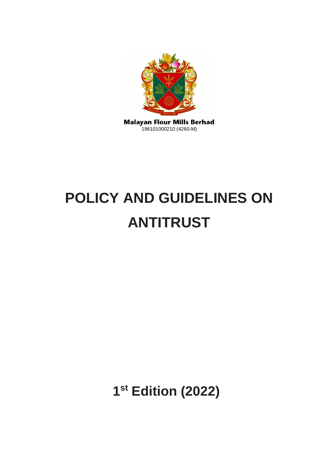

# **POLICY AND GUIDELINES ON ANTITRUST**

**1 st Edition (2022)**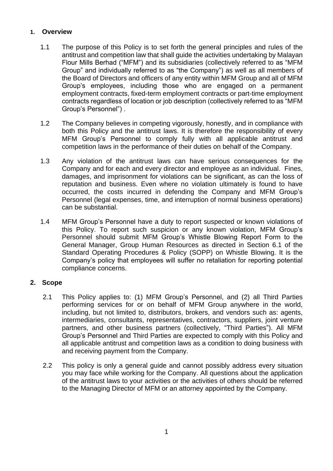## **1. Overview**

- 1.1 The purpose of this Policy is to set forth the general principles and rules of the antitrust and competition law that shall guide the activities undertaking by Malayan Flour Mills Berhad ("MFM") and its subsidiaries (collectively referred to as "MFM Group" and individually referred to as "the Company") as well as all members of the Board of Directors and officers of any entity within MFM Group and all of MFM Group's employees, including those who are engaged on a permanent employment contracts, fixed-term employment contracts or part-time employment contracts regardless of location or job description (collectively referred to as "MFM Group's Personnel") .
- 1.2 The Company believes in competing vigorously, honestly, and in compliance with both this Policy and the antitrust laws. It is therefore the responsibility of every MFM Group's Personnel to comply fully with all applicable antitrust and competition laws in the performance of their duties on behalf of the Company.
- 1.3 Any violation of the antitrust laws can have serious consequences for the Company and for each and every director and employee as an individual. Fines, damages, and imprisonment for violations can be significant, as can the loss of reputation and business. Even where no violation ultimately is found to have occurred, the costs incurred in defending the Company and MFM Group's Personnel (legal expenses, time, and interruption of normal business operations) can be substantial.
- 1.4 MFM Group's Personnel have a duty to report suspected or known violations of this Policy. To report such suspicion or any known violation, MFM Group's Personnel should submit MFM Group's Whistle Blowing Report Form to the General Manager, Group Human Resources as directed in Section 6.1 of the Standard Operating Procedures & Policy (SOPP) on Whistle Blowing. It is the Company's policy that employees will suffer no retaliation for reporting potential compliance concerns.

## **2. Scope**

- 2.1 This Policy applies to: (1) MFM Group's Personnel, and (2) all Third Parties performing services for or on behalf of MFM Group anywhere in the world, including, but not limited to, distributors, brokers, and vendors such as: agents, intermediaries, consultants, representatives, contractors, suppliers, joint venture partners, and other business partners (collectively, "Third Parties"). All MFM Group's Personnel and Third Parties are expected to comply with this Policy and all applicable antitrust and competition laws as a condition to doing business with and receiving payment from the Company.
- 2.2 This policy is only a general guide and cannot possibly address every situation you may face while working for the Company. All questions about the application of the antitrust laws to your activities or the activities of others should be referred to the Managing Director of MFM or an attorney appointed by the Company.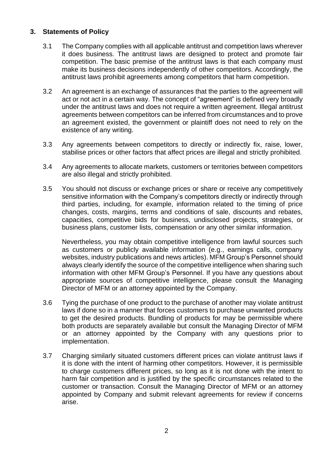## **3. Statements of Policy**

- 3.1 The Company complies with all applicable antitrust and competition laws wherever it does business. The antitrust laws are designed to protect and promote fair competition. The basic premise of the antitrust laws is that each company must make its business decisions independently of other competitors. Accordingly, the antitrust laws prohibit agreements among competitors that harm competition.
- 3.2 An agreement is an exchange of assurances that the parties to the agreement will act or not act in a certain way. The concept of "agreement" is defined very broadly under the antitrust laws and does not require a written agreement. Illegal antitrust agreements between competitors can be inferred from circumstances and to prove an agreement existed, the government or plaintiff does not need to rely on the existence of any writing.
- 3.3 Any agreements between competitors to directly or indirectly fix, raise, lower, stabilise prices or other factors that affect prices are illegal and strictly prohibited.
- 3.4 Any agreements to allocate markets, customers or territories between competitors are also illegal and strictly prohibited.
- 3.5 You should not discuss or exchange prices or share or receive any competitively sensitive information with the Company's competitors directly or indirectly through third parties, including, for example, information related to the timing of price changes, costs, margins, terms and conditions of sale, discounts and rebates, capacities, competitive bids for business, undisclosed projects, strategies, or business plans, customer lists, compensation or any other similar information.

Nevertheless, you may obtain competitive intelligence from lawful sources such as customers or publicly available information (e.g., earnings calls, company websites, industry publications and news articles). MFM Group's Personnel should always clearly identify the source of the competitive intelligence when sharing such information with other MFM Group's Personnel. If you have any questions about appropriate sources of competitive intelligence, please consult the Managing Director of MFM or an attorney appointed by the Company.

- 3.6 Tying the purchase of one product to the purchase of another may violate antitrust laws if done so in a manner that forces customers to purchase unwanted products to get the desired products. Bundling of products for may be permissible where both products are separately available but consult the Managing Director of MFM or an attorney appointed by the Company with any questions prior to implementation.
- 3.7 Charging similarly situated customers different prices can violate antitrust laws if it is done with the intent of harming other competitors. However, it is permissible to charge customers different prices, so long as it is not done with the intent to harm fair competition and is justified by the specific circumstances related to the customer or transaction. Consult the Managing Director of MFM or an attorney appointed by Company and submit relevant agreements for review if concerns arise.